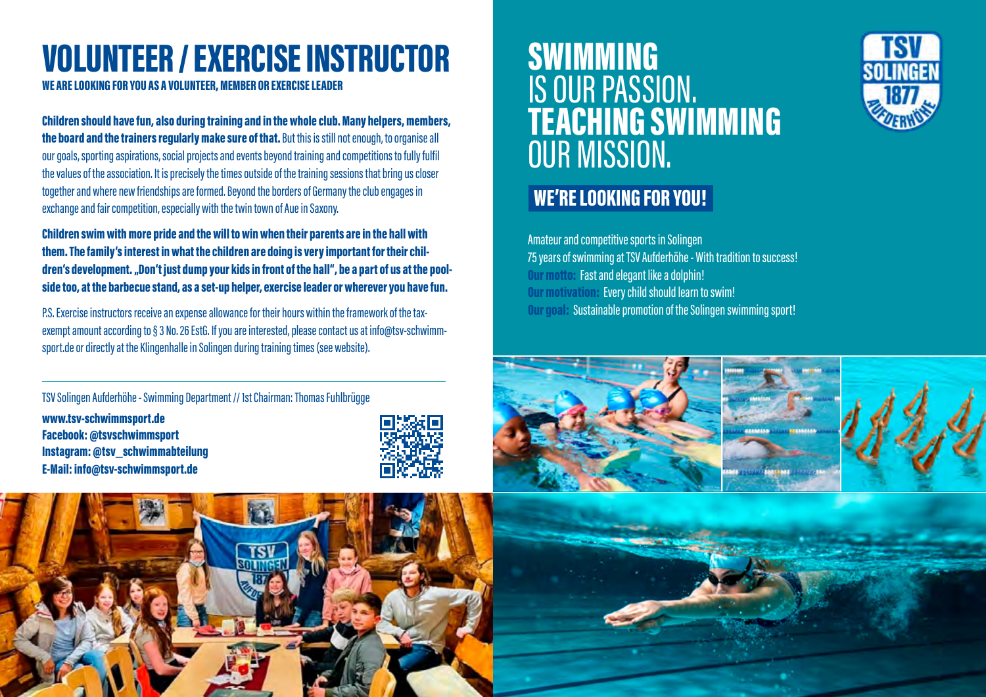# VOLUNTEER / EXERCISE INSTRUCTOR

WE ARE LOOKING FOR YOU AS A VOLUNTEER, MEMBER OR EXERCISE LEADER

Children should have fun, also during training and in the whole club. Many helpers, members, the board and the trainers regularly make sure of that. But this is still not enough, to organise all our goals, sporting aspirations, social projects and events beyond training and competitions to fully fulfil the values of the association. It is precisely the times outside of the training sessions that bring us closer together and where new friendships are formed. Beyond the borders of Germany the club engages in exchange and fair competition, especially with the twin town of Aue in Saxony.

Children swim with more pride and the will to win when their parents are in the hall with them. The family's interest in what the children are doing is very important for their children's development. "Don't just dump your kids in front of the hall", be a part of us at the poolside too, at the barbecue stand, as a set-up helper, exercise leader or wherever you have fun.

P.S. Exercise instructors receive an expense allowance for their hours within the framework of the taxexempt amount according to § 3 No. 26 EstG. If you are interested, please contact us at info@tsv-schwimmsport.de or directly at the Klingenhalle in Solingen during training times (see website).

TSV Solingen Aufderhöhe - Swimming Department // 1st Chairman: Thomas Fuhlbrügge www.tsv-schwimmsport.de Facebook: @tsvschwimmsport Instagram: @tsv\_schwimmabteilung E-Mail: info@tsv-schwimmsport.de



### SWIMMING IS OUR PASSION. TEACHING SWIMMING OUR MISSION.

#### WE'RE LOOKING FOR YOU!

Amateur and competitive sports in Solingen 75 years of swimming at TSV Aufderhöhe - With tradition to success! Our motto: Fast and elegant like a dolphin! Our motivation: Every child should learn to swim! Our goal: Sustainable promotion of the Solingen swimming sport!